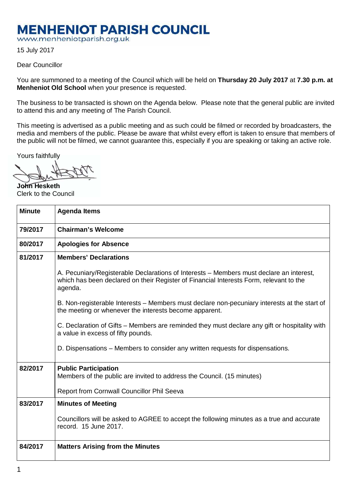## **MENHENIOT PARISH COUNCIL**

www.menheniotparish.org.uk

15 July 2017

## Dear Councillor

You are summoned to a meeting of the Council which will be held on **Thursday 20 July 2017** at **7.30 p.m. at Menheniot Old School** when your presence is requested.

The business to be transacted is shown on the Agenda below. Please note that the general public are invited to attend this and any meeting of The Parish Council.

This meeting is advertised as a public meeting and as such could be filmed or recorded by broadcasters, the media and members of the public. Please be aware that whilst every effort is taken to ensure that members of the public will not be filmed, we cannot guarantee this, especially if you are speaking or taking an active role.

Yours faithfully

**John Hesketh**  Clerk to the Council

| <b>Minute</b> | <b>Agenda Items</b>                                                                                                                                                                          |  |  |  |  |  |
|---------------|----------------------------------------------------------------------------------------------------------------------------------------------------------------------------------------------|--|--|--|--|--|
| 79/2017       | <b>Chairman's Welcome</b>                                                                                                                                                                    |  |  |  |  |  |
| 80/2017       | <b>Apologies for Absence</b>                                                                                                                                                                 |  |  |  |  |  |
| 81/2017       | <b>Members' Declarations</b>                                                                                                                                                                 |  |  |  |  |  |
|               | A. Pecuniary/Registerable Declarations of Interests – Members must declare an interest,<br>which has been declared on their Register of Financial Interests Form, relevant to the<br>agenda. |  |  |  |  |  |
|               | B. Non-registerable Interests – Members must declare non-pecuniary interests at the start of<br>the meeting or whenever the interests become apparent.                                       |  |  |  |  |  |
|               | C. Declaration of Gifts – Members are reminded they must declare any gift or hospitality with<br>a value in excess of fifty pounds.                                                          |  |  |  |  |  |
|               | D. Dispensations – Members to consider any written requests for dispensations.                                                                                                               |  |  |  |  |  |
| 82/2017       | <b>Public Participation</b><br>Members of the public are invited to address the Council. (15 minutes)<br>Report from Cornwall Councillor Phil Seeva                                          |  |  |  |  |  |
| 83/2017       | <b>Minutes of Meeting</b>                                                                                                                                                                    |  |  |  |  |  |
|               | Councillors will be asked to AGREE to accept the following minutes as a true and accurate<br>record. 15 June 2017.                                                                           |  |  |  |  |  |
| 84/2017       | <b>Matters Arising from the Minutes</b>                                                                                                                                                      |  |  |  |  |  |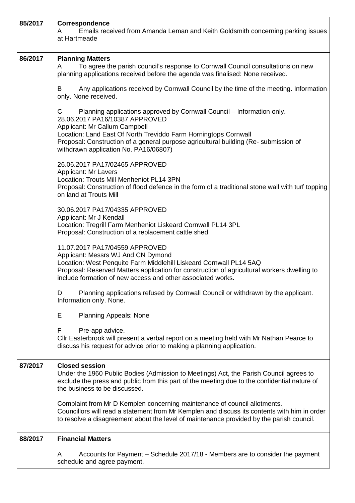| 85/2017 | <b>Correspondence</b><br>Emails received from Amanda Leman and Keith Goldsmith concerning parking issues<br>A<br>at Hartmeade                                                                                                                                                                                                                      |  |  |  |  |  |  |
|---------|----------------------------------------------------------------------------------------------------------------------------------------------------------------------------------------------------------------------------------------------------------------------------------------------------------------------------------------------------|--|--|--|--|--|--|
| 86/2017 | <b>Planning Matters</b><br>To agree the parish council's response to Cornwall Council consultations on new<br>A<br>planning applications received before the agenda was finalised: None received.                                                                                                                                                  |  |  |  |  |  |  |
|         | Any applications received by Cornwall Council by the time of the meeting. Information<br>B<br>only. None received.                                                                                                                                                                                                                                 |  |  |  |  |  |  |
|         | C<br>Planning applications approved by Cornwall Council - Information only.<br>28.06.2017 PA16/10387 APPROVED<br>Applicant: Mr Callum Campbell<br>Location: Land East Of North Treviddo Farm Horningtops Cornwall<br>Proposal: Construction of a general purpose agricultural building (Re- submission of<br>withdrawn application No. PA16/06807) |  |  |  |  |  |  |
|         | 26.06.2017 PA17/02465 APPROVED<br>Applicant: Mr Lavers<br>Location: Trouts Mill Menheniot PL14 3PN<br>Proposal: Construction of flood defence in the form of a traditional stone wall with turf topping<br>on land at Trouts Mill                                                                                                                  |  |  |  |  |  |  |
|         | 30.06.2017 PA17/04335 APPROVED<br>Applicant: Mr J Kendall<br>Location: Tregrill Farm Menheniot Liskeard Cornwall PL14 3PL<br>Proposal: Construction of a replacement cattle shed                                                                                                                                                                   |  |  |  |  |  |  |
|         | 11.07.2017 PA17/04559 APPROVED<br>Applicant: Messrs WJ And CN Dymond<br>Location: West Penquite Farm Middlehill Liskeard Cornwall PL14 5AQ<br>Proposal: Reserved Matters application for construction of agricultural workers dwelling to<br>include formation of new access and other associated works.                                           |  |  |  |  |  |  |
|         | Planning applications refused by Cornwall Council or withdrawn by the applicant.<br>D<br>Information only. None.                                                                                                                                                                                                                                   |  |  |  |  |  |  |
|         | Е<br><b>Planning Appeals: None</b>                                                                                                                                                                                                                                                                                                                 |  |  |  |  |  |  |
|         | Pre-app advice.<br>F<br>CIIr Easterbrook will present a verbal report on a meeting held with Mr Nathan Pearce to<br>discuss his request for advice prior to making a planning application.                                                                                                                                                         |  |  |  |  |  |  |
| 87/2017 | <b>Closed session</b><br>Under the 1960 Public Bodies (Admission to Meetings) Act, the Parish Council agrees to<br>exclude the press and public from this part of the meeting due to the confidential nature of<br>the business to be discussed.                                                                                                   |  |  |  |  |  |  |
|         | Complaint from Mr D Kemplen concerning maintenance of council allotments.<br>Councillors will read a statement from Mr Kemplen and discuss its contents with him in order<br>to resolve a disagreement about the level of maintenance provided by the parish council.                                                                              |  |  |  |  |  |  |
| 88/2017 | <b>Financial Matters</b>                                                                                                                                                                                                                                                                                                                           |  |  |  |  |  |  |
|         | Accounts for Payment - Schedule 2017/18 - Members are to consider the payment<br>A<br>schedule and agree payment.                                                                                                                                                                                                                                  |  |  |  |  |  |  |